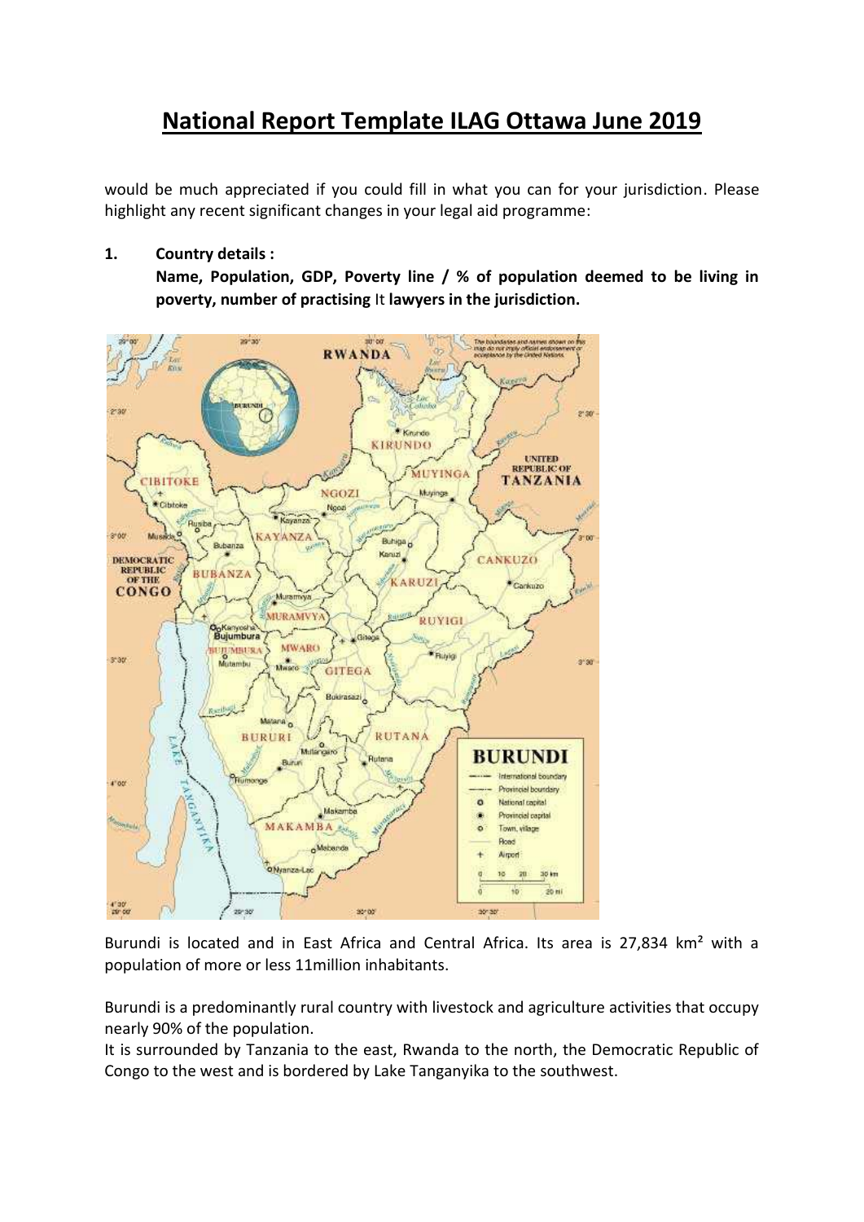# **National Report Template ILAG Ottawa June 2019**

would be much appreciated if you could fill in what you can for your jurisdiction. Please highlight any recent significant changes in your legal aid programme:

**1. Country details :**

**Name, Population, GDP, Poverty line / % of population deemed to be living in poverty, number of practising** It **lawyers in the jurisdiction.**



Burundi is located and in East Africa and Central Africa. Its area is 27,834 km<sup>2</sup> with a population of more or less 11million inhabitants.

Burundi is a predominantly rural country with livestock and agriculture activities that occupy nearly 90% of the population.

It is surrounded by Tanzania to the east, Rwanda to the north, the Democratic Republic of Congo to the west and is bordered by Lake Tanganyika to the southwest.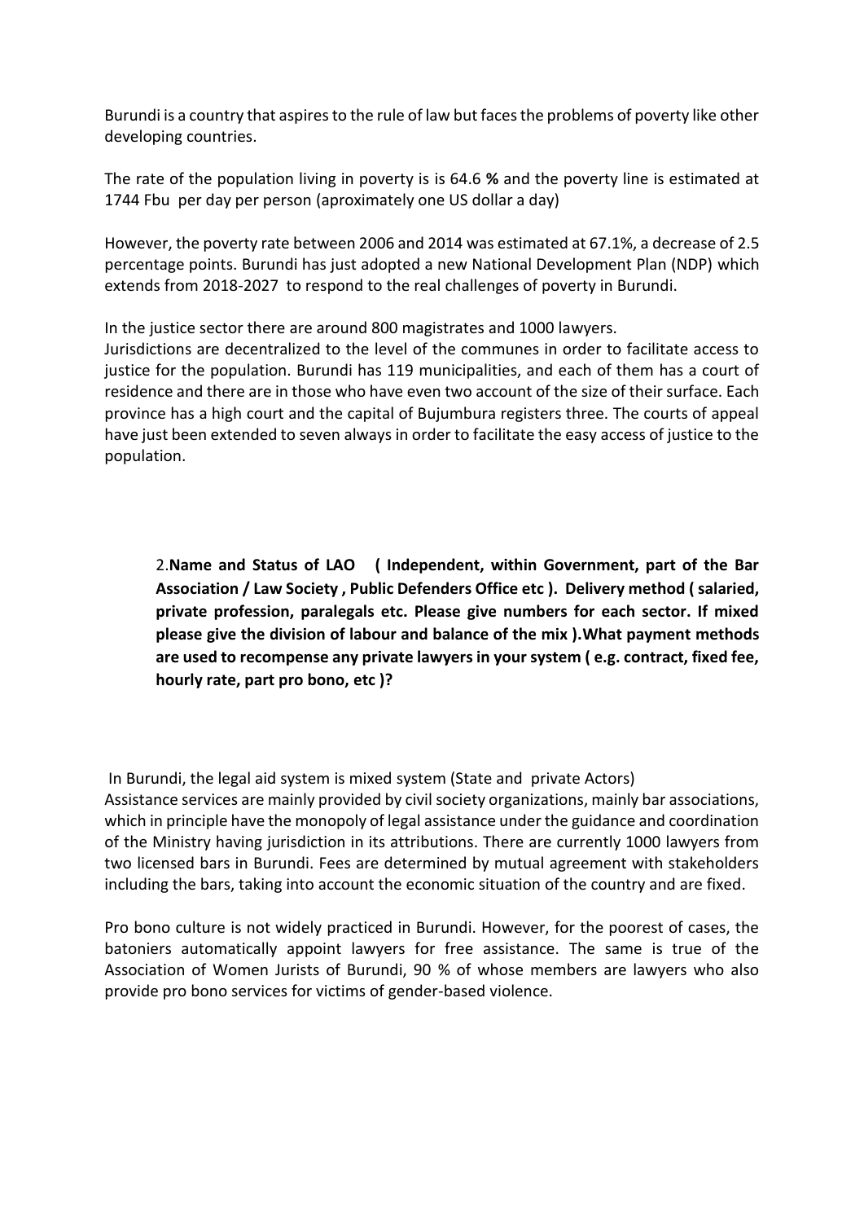Burundi is a country that aspires to the rule of law but faces the problems of poverty like other developing countries.

The rate of the population living in poverty is is 64.6 **%** and the poverty line is estimated at 1744 Fbu per day per person (aproximately one US dollar a day)

However, the poverty rate between 2006 and 2014 was estimated at 67.1%, a decrease of 2.5 percentage points. Burundi has just adopted a new National Development Plan (NDP) which extends from 2018-2027 to respond to the real challenges of poverty in Burundi.

In the justice sector there are around 800 magistrates and 1000 lawyers.

Jurisdictions are decentralized to the level of the communes in order to facilitate access to justice for the population. Burundi has 119 municipalities, and each of them has a court of residence and there are in those who have even two account of the size of their surface. Each province has a high court and the capital of Bujumbura registers three. The courts of appeal have just been extended to seven always in order to facilitate the easy access of justice to the population.

2.**Name and Status of LAO ( Independent, within Government, part of the Bar Association / Law Society , Public Defenders Office etc ). Delivery method ( salaried, private profession, paralegals etc. Please give numbers for each sector. If mixed please give the division of labour and balance of the mix ).What payment methods are used to recompense any private lawyers in your system ( e.g. contract, fixed fee, hourly rate, part pro bono, etc )?**

In Burundi, the legal aid system is mixed system (State and private Actors) Assistance services are mainly provided by civil society organizations, mainly bar associations, which in principle have the monopoly of legal assistance under the guidance and coordination of the Ministry having jurisdiction in its attributions. There are currently 1000 lawyers from two licensed bars in Burundi. Fees are determined by mutual agreement with stakeholders including the bars, taking into account the economic situation of the country and are fixed.

Pro bono culture is not widely practiced in Burundi. However, for the poorest of cases, the batoniers automatically appoint lawyers for free assistance. The same is true of the Association of Women Jurists of Burundi, 90 % of whose members are lawyers who also provide pro bono services for victims of gender-based violence.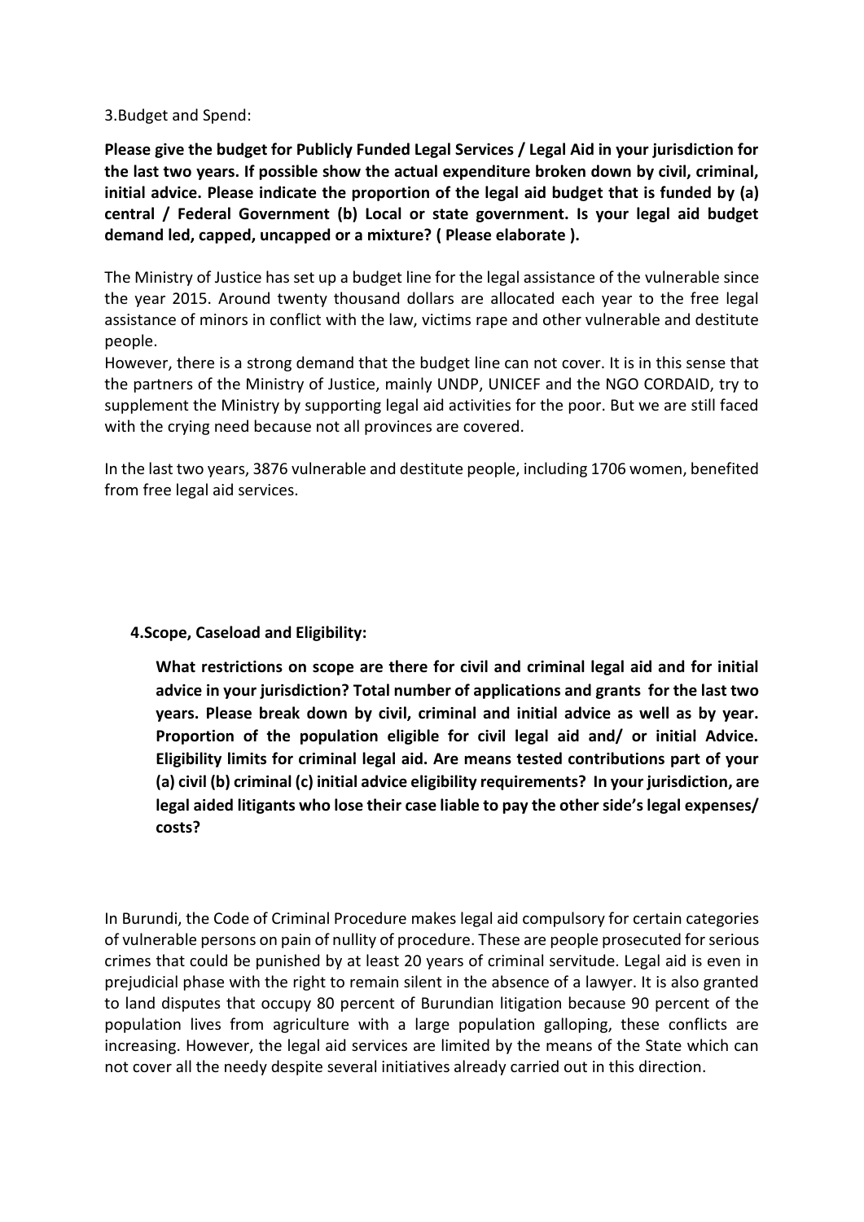3.Budget and Spend:

**Please give the budget for Publicly Funded Legal Services / Legal Aid in your jurisdiction for the last two years. If possible show the actual expenditure broken down by civil, criminal, initial advice. Please indicate the proportion of the legal aid budget that is funded by (a) central / Federal Government (b) Local or state government. Is your legal aid budget demand led, capped, uncapped or a mixture? ( Please elaborate ).** 

The Ministry of Justice has set up a budget line for the legal assistance of the vulnerable since the year 2015. Around twenty thousand dollars are allocated each year to the free legal assistance of minors in conflict with the law, victims rape and other vulnerable and destitute people.

However, there is a strong demand that the budget line can not cover. It is in this sense that the partners of the Ministry of Justice, mainly UNDP, UNICEF and the NGO CORDAID, try to supplement the Ministry by supporting legal aid activities for the poor. But we are still faced with the crying need because not all provinces are covered.

In the last two years, 3876 vulnerable and destitute people, including 1706 women, benefited from free legal aid services.

### **4.Scope, Caseload and Eligibility:**

**What restrictions on scope are there for civil and criminal legal aid and for initial advice in your jurisdiction? Total number of applications and grants for the last two years. Please break down by civil, criminal and initial advice as well as by year. Proportion of the population eligible for civil legal aid and/ or initial Advice. Eligibility limits for criminal legal aid. Are means tested contributions part of your (a) civil (b) criminal (c) initial advice eligibility requirements? In your jurisdiction, are legal aided litigants who lose their case liable to pay the other side's legal expenses/ costs?** 

In Burundi, the Code of Criminal Procedure makes legal aid compulsory for certain categories of vulnerable persons on pain of nullity of procedure. These are people prosecuted for serious crimes that could be punished by at least 20 years of criminal servitude. Legal aid is even in prejudicial phase with the right to remain silent in the absence of a lawyer. It is also granted to land disputes that occupy 80 percent of Burundian litigation because 90 percent of the population lives from agriculture with a large population galloping, these conflicts are increasing. However, the legal aid services are limited by the means of the State which can not cover all the needy despite several initiatives already carried out in this direction.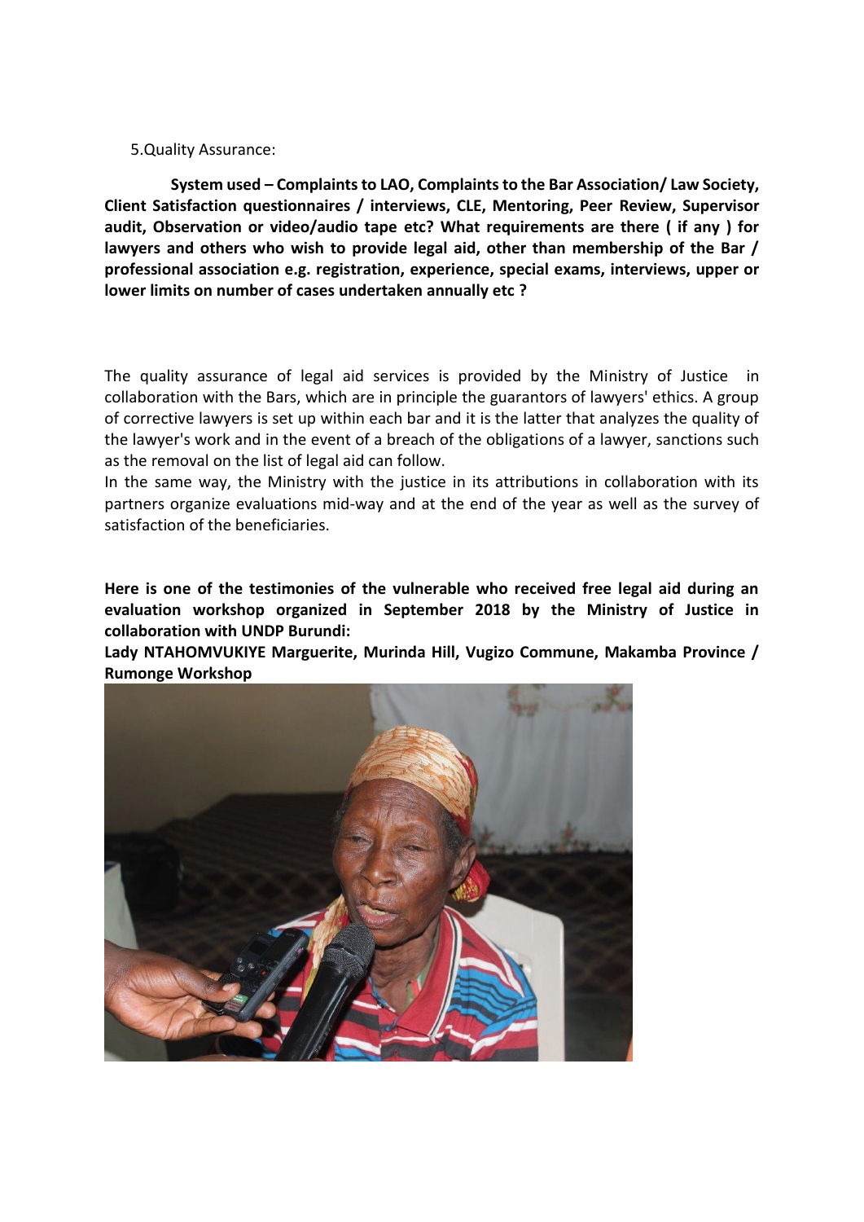5.Quality Assurance:

**System used – Complaints to LAO, Complaints to the Bar Association/ Law Society, Client Satisfaction questionnaires / interviews, CLE, Mentoring, Peer Review, Supervisor audit, Observation or video/audio tape etc? What requirements are there ( if any ) for lawyers and others who wish to provide legal aid, other than membership of the Bar / professional association e.g. registration, experience, special exams, interviews, upper or lower limits on number of cases undertaken annually etc ?**

The quality assurance of legal aid services is provided by the Ministry of Justice in collaboration with the Bars, which are in principle the guarantors of lawyers' ethics. A group of corrective lawyers is set up within each bar and it is the latter that analyzes the quality of the lawyer's work and in the event of a breach of the obligations of a lawyer, sanctions such as the removal on the list of legal aid can follow.

In the same way, the Ministry with the justice in its attributions in collaboration with its partners organize evaluations mid-way and at the end of the year as well as the survey of satisfaction of the beneficiaries.

**Here is one of the testimonies of the vulnerable who received free legal aid during an evaluation workshop organized in September 2018 by the Ministry of Justice in collaboration with UNDP Burundi:**

**Lady NTAHOMVUKIYE Marguerite, Murinda Hill, Vugizo Commune, Makamba Province / Rumonge Workshop**

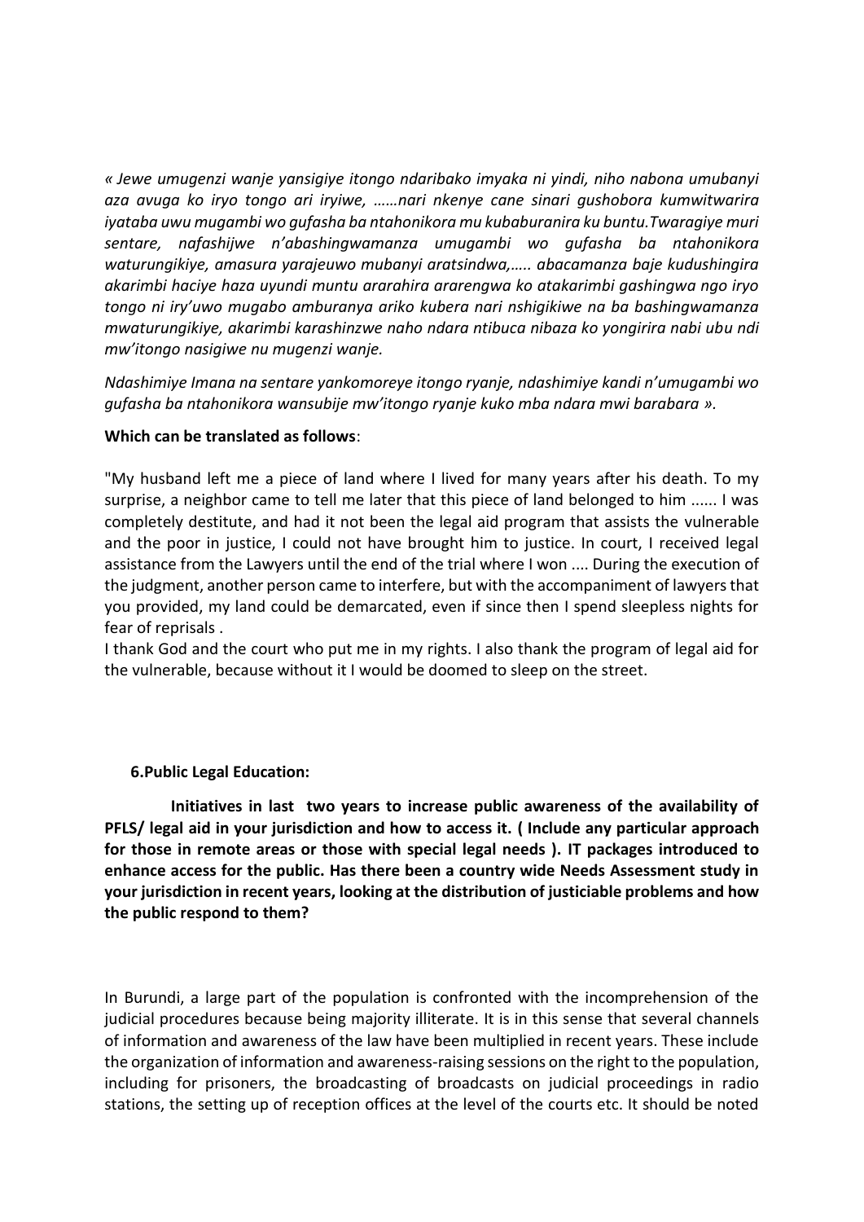*« Jewe umugenzi wanje yansigiye itongo ndaribako imyaka ni yindi, niho nabona umubanyi aza avuga ko iryo tongo ari iryiwe, ……nari nkenye cane sinari gushobora kumwitwarira iyataba uwu mugambi wo gufasha ba ntahonikora mu kubaburanira ku buntu.Twaragiye muri sentare, nafashijwe n'abashingwamanza umugambi wo gufasha ba ntahonikora waturungikiye, amasura yarajeuwo mubanyi aratsindwa,….. abacamanza baje kudushingira akarimbi haciye haza uyundi muntu ararahira ararengwa ko atakarimbi gashingwa ngo iryo tongo ni iry'uwo mugabo amburanya ariko kubera nari nshigikiwe na ba bashingwamanza mwaturungikiye, akarimbi karashinzwe naho ndara ntibuca nibaza ko yongirira nabi ubu ndi mw'itongo nasigiwe nu mugenzi wanje.*

*Ndashimiye Imana na sentare yankomoreye itongo ryanje, ndashimiye kandi n'umugambi wo gufasha ba ntahonikora wansubije mw'itongo ryanje kuko mba ndara mwi barabara ».*

#### **Which can be translated as follows**:

"My husband left me a piece of land where I lived for many years after his death. To my surprise, a neighbor came to tell me later that this piece of land belonged to him ...... I was completely destitute, and had it not been the legal aid program that assists the vulnerable and the poor in justice, I could not have brought him to justice. In court, I received legal assistance from the Lawyers until the end of the trial where I won .... During the execution of the judgment, another person came to interfere, but with the accompaniment of lawyers that you provided, my land could be demarcated, even if since then I spend sleepless nights for fear of reprisals .

I thank God and the court who put me in my rights. I also thank the program of legal aid for the vulnerable, because without it I would be doomed to sleep on the street.

### **6.Public Legal Education:**

**Initiatives in last two years to increase public awareness of the availability of PFLS/ legal aid in your jurisdiction and how to access it. ( Include any particular approach for those in remote areas or those with special legal needs ). IT packages introduced to enhance access for the public. Has there been a country wide Needs Assessment study in your jurisdiction in recent years, looking at the distribution of justiciable problems and how the public respond to them?**

In Burundi, a large part of the population is confronted with the incomprehension of the judicial procedures because being majority illiterate. It is in this sense that several channels of information and awareness of the law have been multiplied in recent years. These include the organization of information and awareness-raising sessions on the right to the population, including for prisoners, the broadcasting of broadcasts on judicial proceedings in radio stations, the setting up of reception offices at the level of the courts etc. It should be noted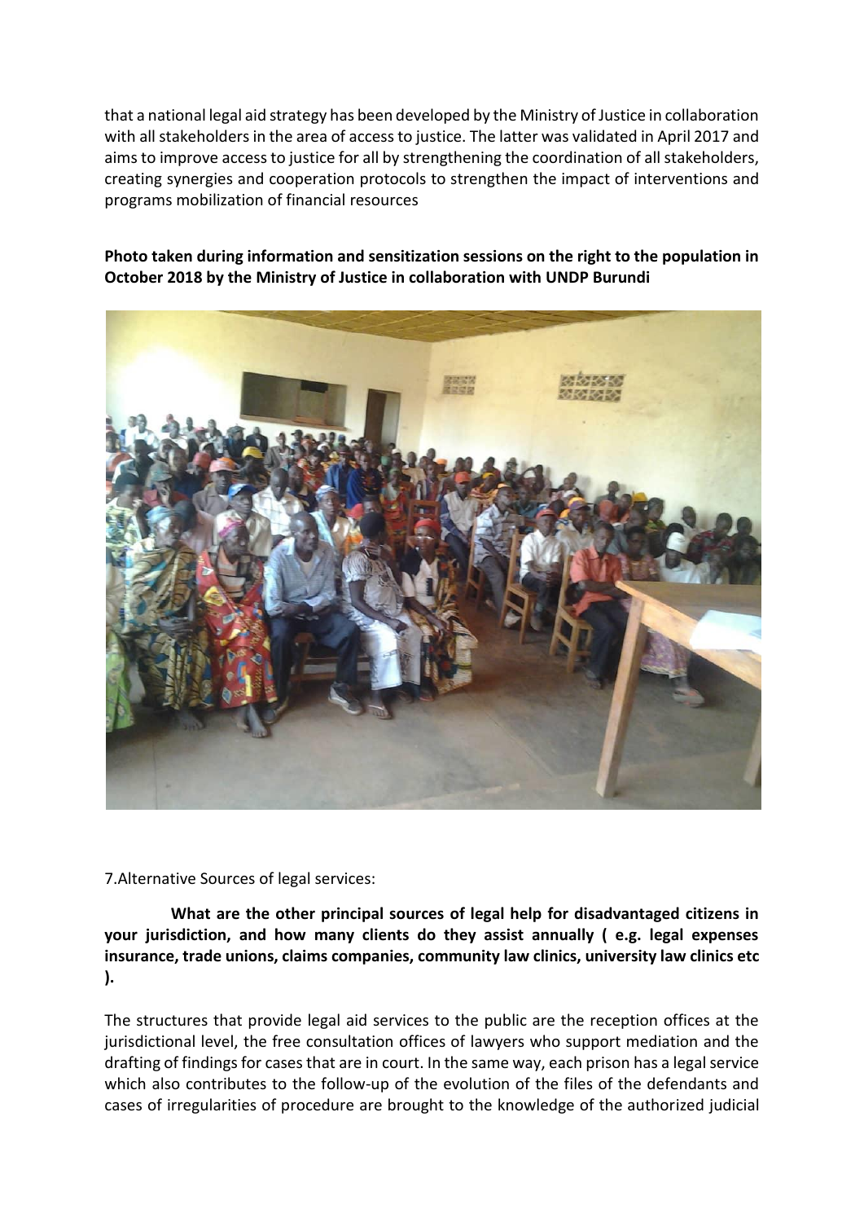that a national legal aid strategy has been developed by the Ministry of Justice in collaboration with all stakeholders in the area of access to justice. The latter was validated in April 2017 and aims to improve access to justice for all by strengthening the coordination of all stakeholders, creating synergies and cooperation protocols to strengthen the impact of interventions and programs mobilization of financial resources

## **Photo taken during information and sensitization sessions on the right to the population in October 2018 by the Ministry of Justice in collaboration with UNDP Burundi**



7.Alternative Sources of legal services:

**What are the other principal sources of legal help for disadvantaged citizens in your jurisdiction, and how many clients do they assist annually ( e.g. legal expenses insurance, trade unions, claims companies, community law clinics, university law clinics etc ).**

The structures that provide legal aid services to the public are the reception offices at the jurisdictional level, the free consultation offices of lawyers who support mediation and the drafting of findings for cases that are in court. In the same way, each prison has a legal service which also contributes to the follow-up of the evolution of the files of the defendants and cases of irregularities of procedure are brought to the knowledge of the authorized judicial